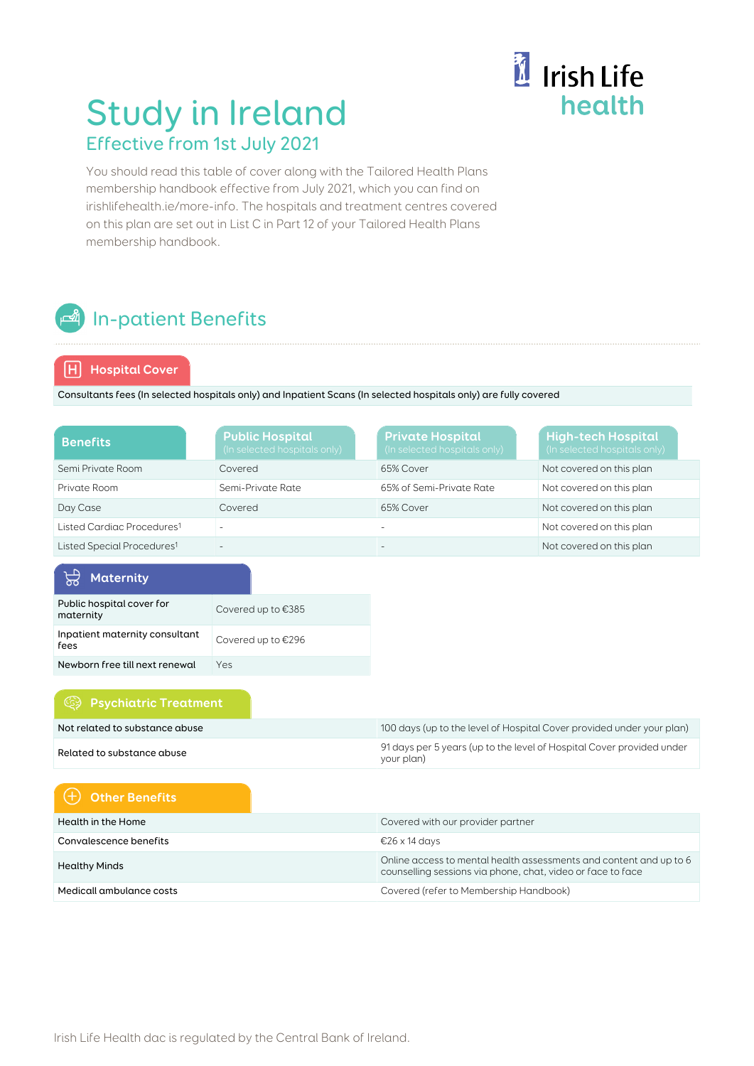# il Irish Life health

## Study in Ireland Effective from 1st July 2021

You should read this table of cover along with the Tailored Health Plans membership handbook effective from July 2021, which you can find on irishlifehealth.ie/more-info. The hospitals and treatment centres covered on this plan are set out in List C in Part 12 of your Tailored Health Plans membership handbook.

## **n** In-patient Benefits

#### **Hospital Cover**

Consultants fees (In selected hospitals only) and Inpatient Scans (In selected hospitals only) are fully covered

| <b>Benefits</b>                        | <b>Public Hospital</b><br>(In selected hospitals only) | <b>Private Hospital</b><br>(In selected hospitals only) | <b>High-tech Hospital</b><br>(In selected hospitals only) |
|----------------------------------------|--------------------------------------------------------|---------------------------------------------------------|-----------------------------------------------------------|
| Semi Private Room                      | Covered                                                | 65% Cover                                               | Not covered on this plan                                  |
| Private Room                           | Semi-Private Rate                                      | 65% of Semi-Private Rate                                | Not covered on this plan                                  |
| Day Case                               | Covered                                                | 65% Cover                                               | Not covered on this plan                                  |
| Listed Cardiac Procedures <sup>1</sup> |                                                        |                                                         | Not covered on this plan                                  |
| Listed Special Procedures <sup>1</sup> | -                                                      |                                                         | Not covered on this plan                                  |

| <b>Maternity</b>                       |                    |
|----------------------------------------|--------------------|
| Public hospital cover for<br>maternity | Covered up to €385 |
| Inpatient maternity consultant<br>fees | Covered up to €296 |
| Newborn free till next renewal         | Yes                |

#### **Psychiatric Treatment**

| Not related to substance abuse | 100 days (up to the level of Hospital Cover provided under your plan)               |
|--------------------------------|-------------------------------------------------------------------------------------|
| Related to substance abuse     | 91 days per 5 years (up to the level of Hospital Cover provided under<br>your plan) |

### **Other Benefits**

| Health in the Home       | Covered with our provider partner                                                                                                 |
|--------------------------|-----------------------------------------------------------------------------------------------------------------------------------|
| Convalescence benefits   | €26 x 14 days                                                                                                                     |
| <b>Healthy Minds</b>     | Online access to mental health assessments and content and up to 6<br>counselling sessions via phone, chat, video or face to face |
| Medicall ambulance costs | Covered (refer to Membership Handbook)                                                                                            |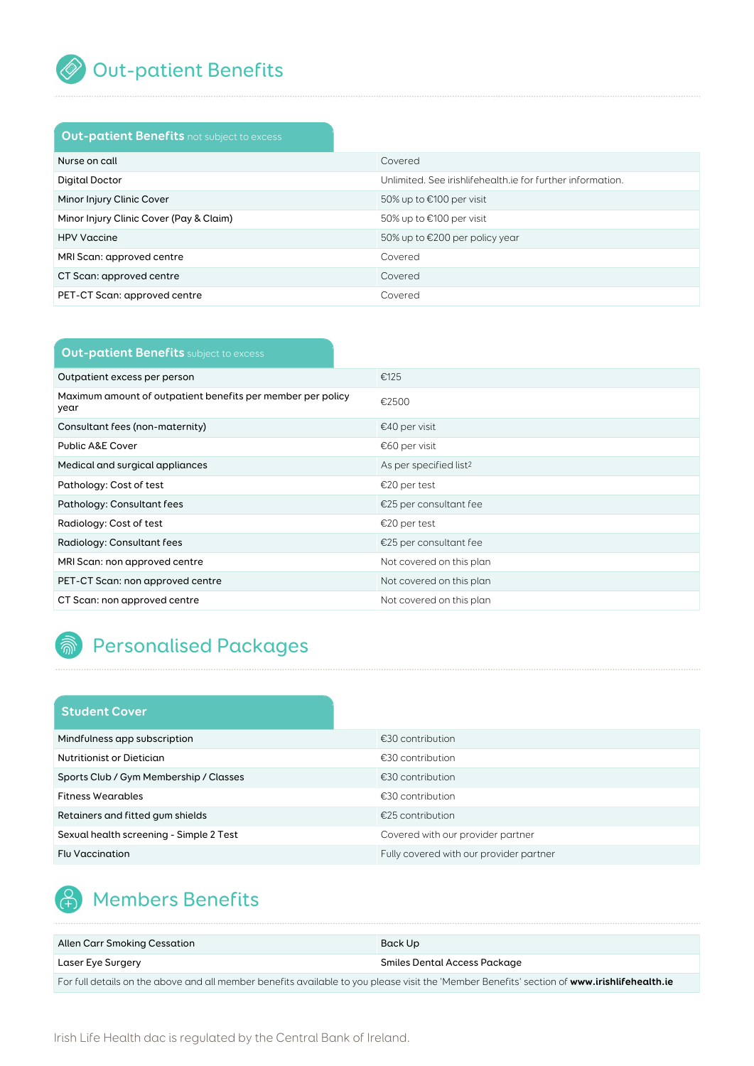

### Out-patient Benefits

### **Out-patient Benefits** not subject to excess

| Nurse on call                           | Covered                                                    |
|-----------------------------------------|------------------------------------------------------------|
| Digital Doctor                          | Unlimited. See irishlifehealth ie for further information. |
| Minor Injury Clinic Cover               | 50% up to €100 per visit                                   |
| Minor Injury Clinic Cover (Pay & Claim) | 50% up to €100 per visit                                   |
| <b>HPV Vaccine</b>                      | 50% up to $\epsilon$ 200 per policy year                   |
| MRI Scan: approved centre               | Covered                                                    |
| CT Scan: approved centre                | Covered                                                    |
| PET-CT Scan: approved centre            | Covered                                                    |

| <b>Out-patient Benefits</b> subject to excess                       |                                    |
|---------------------------------------------------------------------|------------------------------------|
| Outpatient excess per person                                        | €125                               |
| Maximum amount of outpatient benefits per member per policy<br>year | €2500                              |
| Consultant fees (non-maternity)                                     | €40 per visit                      |
| Public A&E Cover                                                    | €60 per visit                      |
| Medical and surgical appliances                                     | As per specified list <sup>2</sup> |
| Pathology: Cost of test                                             | €20 per test                       |
| Pathology: Consultant fees                                          | €25 per consultant fee             |
| Radiology: Cost of test                                             | €20 per test                       |
| Radiology: Consultant fees                                          | €25 per consultant fee             |
| MRI Scan: non approved centre                                       | Not covered on this plan           |
| PET-CT Scan: non approved centre                                    | Not covered on this plan           |
| CT Scan: non approved centre                                        | Not covered on this plan           |

### **A** Personalised Packages

#### **Student Cover**

| Mindfulness app subscription            | €30 contribution                        |
|-----------------------------------------|-----------------------------------------|
| Nutritionist or Dietician               | €30 contribution                        |
| Sports Club / Gym Membership / Classes  | €30 contribution                        |
| <b>Fitness Wearables</b>                | $£30$ contribution                      |
| Retainers and fitted gum shields        | €25 contribution                        |
| Sexual health screening - Simple 2 Test | Covered with our provider partner       |
| <b>Flu Vaccination</b>                  | Fully covered with our provider partner |

### **A** Members Benefits

| Allen Carr Smoking Cessation                                                                                                                | Back Up                      |
|---------------------------------------------------------------------------------------------------------------------------------------------|------------------------------|
| Laser Eye Surgery                                                                                                                           | Smiles Dental Access Package |
| For full details on the above and all member benefits available to you please visit the 'Member Benefits' section of www.irishlifehealth.ie |                              |

Irish Life Health dac is regulated by the Central Bank of Ireland.